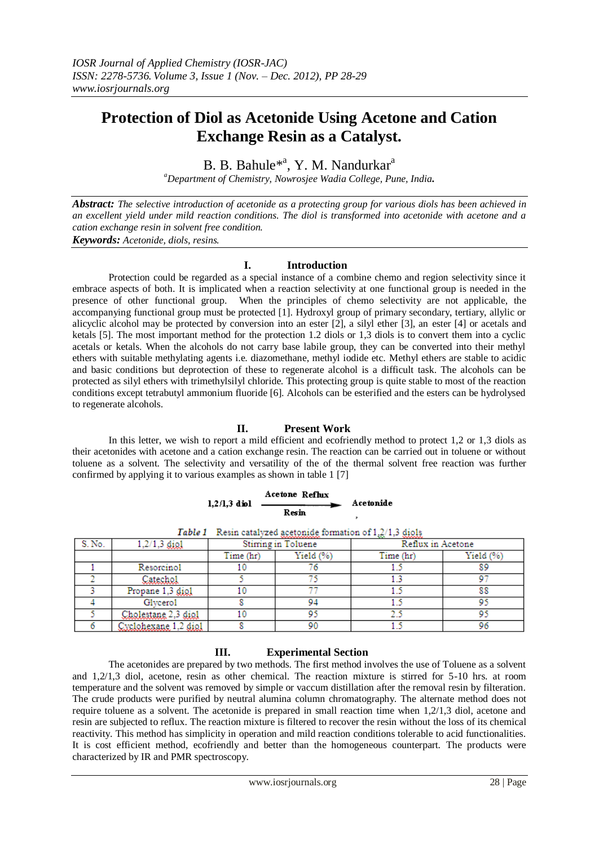# **Protection of Diol as Acetonide Using Acetone and Cation Exchange Resin as a Catalyst.**

B. B. Bahule<sup>\*a</sup>, Y. M. Nandurkar<sup>a</sup>

*<sup>a</sup>Department of Chemistry, Nowrosjee Wadia College, Pune, India.*

*Abstract: The selective introduction of acetonide as a protecting group for various diols has been achieved in an excellent yield under mild reaction conditions. The diol is transformed into acetonide with acetone and a cation exchange resin in solvent free condition.*

*Keywords: Acetonide, diols, resins.*

#### **I. Introduction**

Protection could be regarded as a special instance of a combine chemo and region selectivity since it embrace aspects of both. It is implicated when a reaction selectivity at one functional group is needed in the presence of other functional group. When the principles of chemo selectivity are not applicable, the accompanying functional group must be protected [1]. Hydroxyl group of primary secondary, tertiary, allylic or alicyclic alcohol may be protected by conversion into an ester [2], a silyl ether [3], an ester [4] or acetals and ketals [5]. The most important method for the protection 1.2 diols or 1,3 diols is to convert them into a cyclic acetals or ketals. When the alcohols do not carry base labile group, they can be converted into their methyl ethers with suitable methylating agents i.e. diazomethane, methyl iodide etc. Methyl ethers are stable to acidic and basic conditions but deprotection of these to regenerate alcohol is a difficult task. The alcohols can be protected as silyl ethers with trimethylsilyl chloride. This protecting group is quite stable to most of the reaction conditions except tetrabutyl ammonium fluoride [6]. Alcohols can be esterified and the esters can be hydrolysed to regenerate alcohols.

# **II. Present Work**

In this letter, we wish to report a mild efficient and ecofriendly method to protect 1,2 or 1,3 diols as their acetonides with acetone and a cation exchange resin. The reaction can be carried out in toluene or without toluene as a solvent. The selectivity and versatility of the of the thermal solvent free reaction was further confirmed by applying it to various examples as shown in table 1 [7]

|                | Acetone Reflux |           |
|----------------|----------------|-----------|
| $1.2/1.3$ diol |                | Acetonide |
|                | Resin          |           |

| S. No. | $1,2/1,3$ digl              | **************<br>Stirring in Toluene |             | $\sim$<br>--------<br>Reflux in Acetone |             |
|--------|-----------------------------|---------------------------------------|-------------|-----------------------------------------|-------------|
|        |                             | Time (hr)                             | Yield $(%)$ | Time (hr)                               | Yield $(%)$ |
|        | Resorcinol                  |                                       |             |                                         | 89          |
|        | Catechol                    |                                       |             |                                         |             |
|        | Propane 1,3 digl            |                                       |             |                                         | 88          |
|        | Glycerol                    |                                       |             |                                         |             |
|        | Cholestane 2.3 diol         |                                       |             |                                         |             |
|        | <u>Cyclobexane 1,2 diol</u> |                                       |             |                                         | 96          |

Table 1 Resin catalyzed acetonide formation of 1,2/1,3 diols

## **III. Experimental Section**

The acetonides are prepared by two methods. The first method involves the use of Toluene as a solvent and 1,2/1,3 diol, acetone, resin as other chemical. The reaction mixture is stirred for 5-10 hrs. at room temperature and the solvent was removed by simple or vaccum distillation after the removal resin by filteration. The crude products were purified by neutral alumina column chromatography. The alternate method does not require toluene as a solvent. The acetonide is prepared in small reaction time when 1,2/1,3 diol, acetone and resin are subjected to reflux. The reaction mixture is filtered to recover the resin without the loss of its chemical reactivity. This method has simplicity in operation and mild reaction conditions tolerable to acid functionalities. It is cost efficient method, ecofriendly and better than the homogeneous counterpart. The products were characterized by IR and PMR spectroscopy.